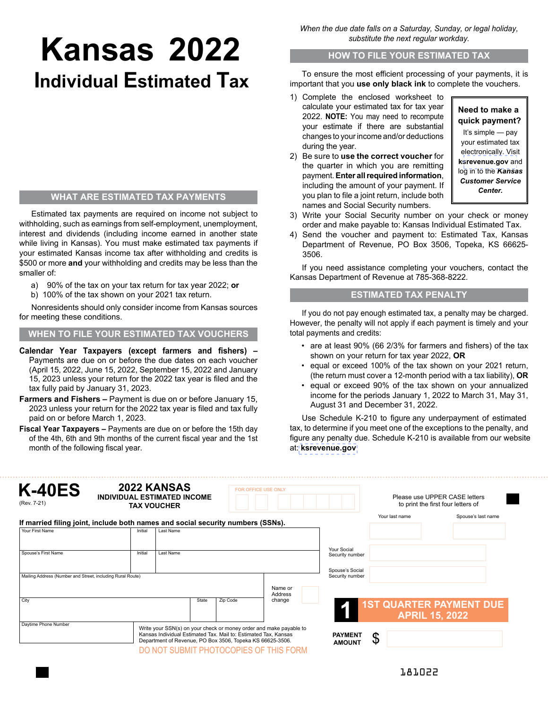# **Kansas 2022 Individual Estimated Tax**

## **WHAT ARE ESTIMATED TAX PAYMENTS**

Estimated tax payments are required on income not subject to withholding, such as earnings from self-employment, unemployment, interest and dividends (including income earned in another state while living in Kansas). You must make estimated tax payments if your estimated Kansas income tax after withholding and credits is \$500 or more **and** your withholding and credits may be less than the smaller of:

- a) 90% of the tax on your tax return for tax year 2022; **or**
- b) 100% of the tax shown on your 2021 tax return.

Nonresidents should only consider income from Kansas sources for meeting these conditions.

### **WHEN TO FILE YOUR ESTIMATED TAX VOUCHERS**

- **Calendar Year Taxpayers (except farmers and fishers) –** Payments are due on or before the due dates on each voucher (April 15, 2022, June 15, 2022, September 15, 2022 and January 15, 2023 unless your return for the 2022 tax year is filed and the tax fully paid by January 31, 2023.
- **Farmers and Fishers** Payment is due on or before January 15, 2023 unless your return for the 2022 tax year is filed and tax fully paid on or before March 1, 2023.
- **Fiscal Year Taxpayers** Payments are due on or before the 15th day of the 4th, 6th and 9th months of the current fiscal year and the 1st month of the following fiscal year.

*When the due date falls on a Saturday, Sunday, or legal holiday, substitute the next regular workday.*

#### **HOW TO FILE YOUR ESTIMATED TAX**

To ensure the most efficient processing of your payments, it is important that you **use only black ink** to complete the vouchers.

- 1) Complete the enclosed worksheet to calculate your estimated tax for tax year 2022. **NOTE:** You may need to recompute your estimate if there are substantial changes to your income and/or deductions during the year.
- 2) Be sure to **use the correct voucher** for the quarter in which you are remitting payment. **Enter all required information**, including the amount of your payment. If you plan to file a joint return, include both names and Social Security numbers.

## **Need to make a quick payment?**

It's simple — pay your estimated tax electronically. Visit **k[srevenue.gov](https://www.kdor.ks.gov/Apps/kcsc/login.aspx)** and log in to the *Kansas Customer Service Center.*

- 3) Write your Social Security number on your check or money order and make payable to: Kansas Individual Estimated Tax.
- 4) Send the voucher and payment to: Estimated Tax, Kansas Department of Revenue, PO Box 3506, Topeka, KS 66625- 3506.

If you need assistance completing your vouchers, contact the Kansas Department of Revenue at 785-368-8222.

## **ESTIMATED TAX PENALTY**

If you do not pay enough estimated tax, a penalty may be charged. However, the penalty will not apply if each payment is timely and your total payments and credits:

- are at least 90% (66 2/3% for farmers and fishers) of the tax shown on your return for tax year 2022, **OR**
- equal or exceed 100% of the tax shown on your 2021 return, (the return must cover a 12-month period with a tax liability), **OR**
- equal or exceed 90% of the tax shown on your annualized income for the periods January 1, 2022 to March 31, May 31, August 31 and December 31, 2022.

Use Schedule K-210 to figure any underpayment of estimated tax, to determine if you meet one of the exceptions to the penalty, and figure any penalty due. Schedule K-210 is available from our website at: **[ksrevenue.gov](https://www.ksrevenue.org/pdf/k-21021.pdf)**

| <b>K-40ES</b><br>(Rev. 7-21)                                                    | 2022 KANSAS<br>INDIVIDUAL ESTIMATED INCOME<br><b>TAX VOUCHER</b> |                                                                                                                                                                                                                                              |          | FOR OFFICE USE ONLY |                                    | Please use UPPER CASE letters<br>to print the first four letters of |                                                         |  |
|---------------------------------------------------------------------------------|------------------------------------------------------------------|----------------------------------------------------------------------------------------------------------------------------------------------------------------------------------------------------------------------------------------------|----------|---------------------|------------------------------------|---------------------------------------------------------------------|---------------------------------------------------------|--|
| If married filing joint, include both names and social security numbers (SSNs). |                                                                  |                                                                                                                                                                                                                                              |          |                     |                                    | Your last name                                                      | Spouse's last name                                      |  |
| Your First Name                                                                 | Initial                                                          | Last Name                                                                                                                                                                                                                                    |          |                     |                                    |                                                                     |                                                         |  |
| Spouse's First Name                                                             | Initial                                                          | <b>Last Name</b>                                                                                                                                                                                                                             |          |                     | Your Social<br>Security number     |                                                                     |                                                         |  |
| Mailing Address (Number and Street, including Rural Route)                      |                                                                  |                                                                                                                                                                                                                                              |          |                     | Spouse's Social<br>Security number |                                                                     |                                                         |  |
|                                                                                 |                                                                  |                                                                                                                                                                                                                                              |          | Name or<br>Address  |                                    |                                                                     |                                                         |  |
| City                                                                            |                                                                  | State                                                                                                                                                                                                                                        | Zip Code | change              |                                    |                                                                     | <b>1ST QUARTER PAYMENT DUE</b><br><b>APRIL 15, 2022</b> |  |
| Daytime Phone Number                                                            |                                                                  | Write your SSN(s) on your check or money order and make payable to<br>Kansas Individual Estimated Tax. Mail to: Estimated Tax, Kansas<br>Department of Revenue, PO Box 3506, Topeka KS 66625-3506.<br>DO NOT SUBMIT PHOTOCOPIES OF THIS FORM |          |                     | <b>PAYMENT</b><br><b>AMOUNT</b>    | \$                                                                  |                                                         |  |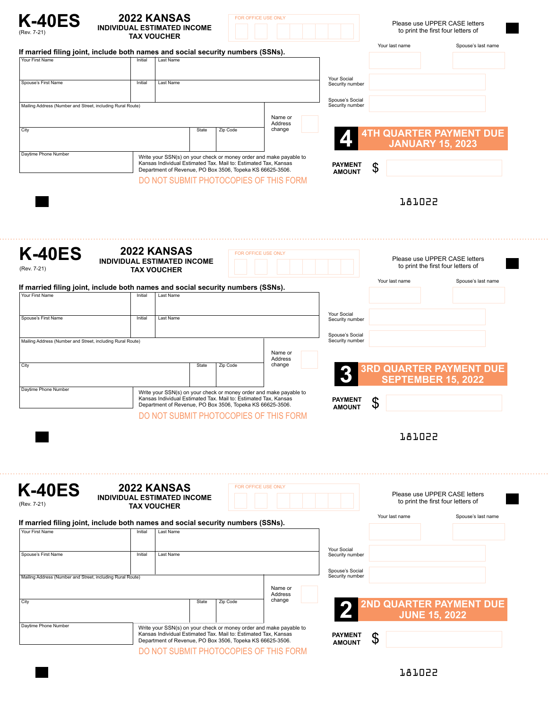

. . . .

#### **2022 KANSAS INDIVIDUAL ESTIMATED INCOME TAX VOUCHER**



#### Please use UPPER CASE letters to print the first four letters of

| If married filing joint, include both names and social security numbers (SSNs).<br>Your First Name |                                    |                    |       |                                                                                                                              |                                                                    |                                    |                      |                                                                     |
|----------------------------------------------------------------------------------------------------|------------------------------------|--------------------|-------|------------------------------------------------------------------------------------------------------------------------------|--------------------------------------------------------------------|------------------------------------|----------------------|---------------------------------------------------------------------|
|                                                                                                    | Initial                            | Last Name          |       |                                                                                                                              |                                                                    |                                    |                      |                                                                     |
| Spouse's First Name                                                                                | Initial                            | Last Name          |       |                                                                                                                              |                                                                    | Your Social<br>Security number     |                      |                                                                     |
|                                                                                                    |                                    |                    |       |                                                                                                                              |                                                                    | Spouse's Social                    |                      |                                                                     |
| Mailing Address (Number and Street, including Rural Route)                                         |                                    |                    |       |                                                                                                                              |                                                                    | Security number                    |                      |                                                                     |
| City                                                                                               |                                    |                    | State | Zip Code                                                                                                                     | Name or<br>Address<br>change                                       |                                    |                      |                                                                     |
|                                                                                                    |                                    |                    |       |                                                                                                                              |                                                                    |                                    |                      | <b>4TH QUARTER PAYMENT DUE</b><br><b>JANUARY 15, 2023</b>           |
| Daytime Phone Number                                                                               |                                    |                    |       | Kansas Individual Estimated Tax. Mail to: Estimated Tax, Kansas                                                              | Write your SSN(s) on your check or money order and make payable to |                                    |                      |                                                                     |
|                                                                                                    |                                    |                    |       | Department of Revenue, PO Box 3506, Topeka KS 66625-3506.                                                                    |                                                                    | <b>PAYMENT</b><br><b>AMOUNT</b>    | \$                   |                                                                     |
|                                                                                                    |                                    |                    |       |                                                                                                                              | DO NOT SUBMIT PHOTOCOPIES OF THIS FORM                             |                                    |                      |                                                                     |
|                                                                                                    |                                    |                    |       |                                                                                                                              |                                                                    |                                    | <b>J87022</b>        |                                                                     |
|                                                                                                    |                                    |                    |       |                                                                                                                              |                                                                    |                                    |                      |                                                                     |
|                                                                                                    |                                    |                    |       |                                                                                                                              |                                                                    |                                    |                      |                                                                     |
| <b>K-40ES</b>                                                                                      |                                    | 2022 KANSAS        |       | FOR OFFICE USE ONLY                                                                                                          |                                                                    |                                    |                      | Please use UPPER CASE letters                                       |
| (Rev. 7-21)                                                                                        | <b>INDIVIDUAL ESTIMATED INCOME</b> | <b>TAX VOUCHER</b> |       |                                                                                                                              |                                                                    |                                    |                      | to print the first four letters of                                  |
| If married filing joint, include both names and social security numbers (SSNs).                    |                                    |                    |       |                                                                                                                              |                                                                    |                                    | Your last name       | Spouse's last name                                                  |
| Your First Name                                                                                    | Initial                            | Last Name          |       |                                                                                                                              |                                                                    |                                    |                      |                                                                     |
| Spouse's First Name                                                                                | Initial                            | Last Name          |       |                                                                                                                              |                                                                    | Your Social<br>Security number     |                      |                                                                     |
|                                                                                                    |                                    |                    |       |                                                                                                                              |                                                                    | Spouse's Social                    |                      |                                                                     |
| Mailing Address (Number and Street, including Rural Route)                                         |                                    |                    |       |                                                                                                                              |                                                                    | Security number                    |                      |                                                                     |
| City                                                                                               |                                    |                    | State | Zip Code                                                                                                                     | Name or<br>Address<br>change                                       |                                    |                      |                                                                     |
|                                                                                                    |                                    |                    |       |                                                                                                                              |                                                                    |                                    |                      | <b>3RD QUARTER PAYMENT DUE</b><br>SEPTEMBER 15, 2022                |
|                                                                                                    |                                    |                    |       |                                                                                                                              |                                                                    |                                    |                      |                                                                     |
| Daytime Phone Number                                                                               |                                    |                    |       |                                                                                                                              | Write your SSN(s) on your check or money order and make payable to |                                    |                      |                                                                     |
|                                                                                                    |                                    |                    |       | Kansas Individual Estimated Tax. Mail to: Estimated Tax, Kansas<br>Department of Revenue, PO Box 3506, Topeka KS 66625-3506. |                                                                    | <b>PAYMENT</b><br><b>AMOUNT</b>    | \$                   |                                                                     |
|                                                                                                    |                                    |                    |       |                                                                                                                              | DO NOT SUBMIT PHOTOCOPIES OF THIS FORM                             |                                    |                      |                                                                     |
|                                                                                                    |                                    |                    |       |                                                                                                                              |                                                                    |                                    | 181022               |                                                                     |
|                                                                                                    |                                    |                    |       |                                                                                                                              |                                                                    |                                    |                      |                                                                     |
|                                                                                                    |                                    |                    |       |                                                                                                                              |                                                                    |                                    |                      |                                                                     |
|                                                                                                    |                                    | 2022 KANSAS        |       | FOR OFFICE USE ONLY                                                                                                          |                                                                    |                                    |                      |                                                                     |
| <b>K-40ES</b><br>(Rev. 7-21)                                                                       | <b>INDIVIDUAL ESTIMATED INCOME</b> | <b>TAX VOUCHER</b> |       |                                                                                                                              |                                                                    |                                    |                      | Please use UPPER CASE letters<br>to print the first four letters of |
|                                                                                                    |                                    |                    |       |                                                                                                                              |                                                                    |                                    | Your last name       | Spouse's last name                                                  |
| If married filing joint, include both names and social security numbers (SSNs).<br>Your First Name | Initial                            | Last Name          |       |                                                                                                                              |                                                                    |                                    |                      |                                                                     |
|                                                                                                    |                                    |                    |       |                                                                                                                              |                                                                    | Your Social                        |                      |                                                                     |
| Spouse's First Name                                                                                | Initial                            | Last Name          |       |                                                                                                                              |                                                                    | Security number                    |                      |                                                                     |
| Mailing Address (Number and Street, including Rural Route)                                         |                                    |                    |       |                                                                                                                              |                                                                    | Spouse's Social<br>Security number |                      |                                                                     |
|                                                                                                    |                                    |                    |       |                                                                                                                              | Name or<br>Address                                                 |                                    |                      |                                                                     |
| City                                                                                               |                                    |                    | State | Zip Code                                                                                                                     | change                                                             |                                    |                      | <b>2ND QUARTER PAYMENT DUE</b>                                      |
| Daytime Phone Number                                                                               |                                    |                    |       |                                                                                                                              | Write your SSN(s) on your check or money order and make payable to |                                    | <b>JUNE 15, 2022</b> |                                                                     |